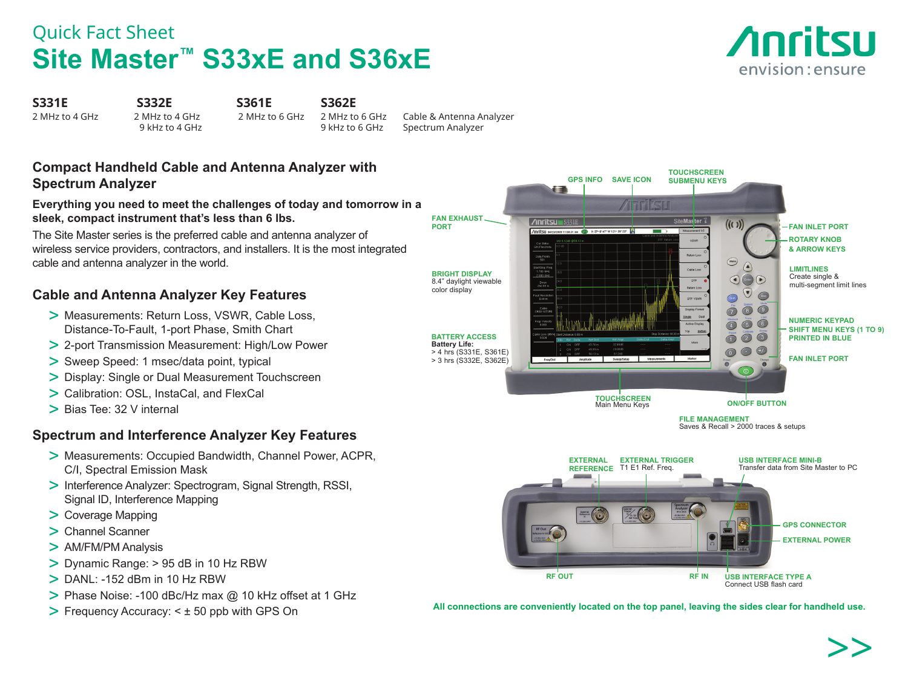## Quick Fact Sheet **Site Master™ S33xE and S36xE**



**S331E S332E S361E S362E**

2 MHz to 4 GHz 2 MHz to 4 GHz 2 MHz to 6 GHz 2 MHz to 6 GHz Cable & Antenna Analyzer Spectrum Analyzer

### **Compact Handheld Cable and Antenna Analyzer with Spectrum Analyzer**

### **Everything you need to meet the challenges of today and tomorrow in a sleek, compact instrument that's less than 6 lbs.**

The Site Master series is the preferred cable and antenna analyzer of wireless service providers, contractors, and installers. It is the most integrated cable and antenna analyzer in the world.

### **Cable and Antenna Analyzer Key Features**

- > Measurements: Return Loss, VSWR, Cable Loss, Distance-To-Fault, 1-port Phase, Smith Chart
- > 2-port Transmission Measurement: High/Low Power
- > Sweep Speed: 1 msec/data point, typical
- > Display: Single or Dual Measurement Touchscreen
- > Calibration: OSL, InstaCal, and FlexCal
- > Bias Tee: 32 V internal

### **Spectrum and Interference Analyzer Key Features**

- > Measurements: Occupied Bandwidth, Channel Power, ACPR, C/I, Spectral Emission Mask
- > Interference Analyzer: Spectrogram, Signal Strength, RSSI, Signal ID, Interference Mapping
- > Coverage Mapping
- > Channel Scanner
- > AM/FM/PM Analysis
- > Dynamic Range: > 95 dB in 10 Hz RBW
- $>$  DANI  $\cdot$  -152 dBm in 10 Hz RBW
- > Phase Noise: -100 dBc/Hz max @ 10 kHz offset at 1 GHz
- > Frequency Accuracy: < ± 50 ppb with GPS On



All connections are conveniently located on the top panel, leaving the sides clear for handheld use.